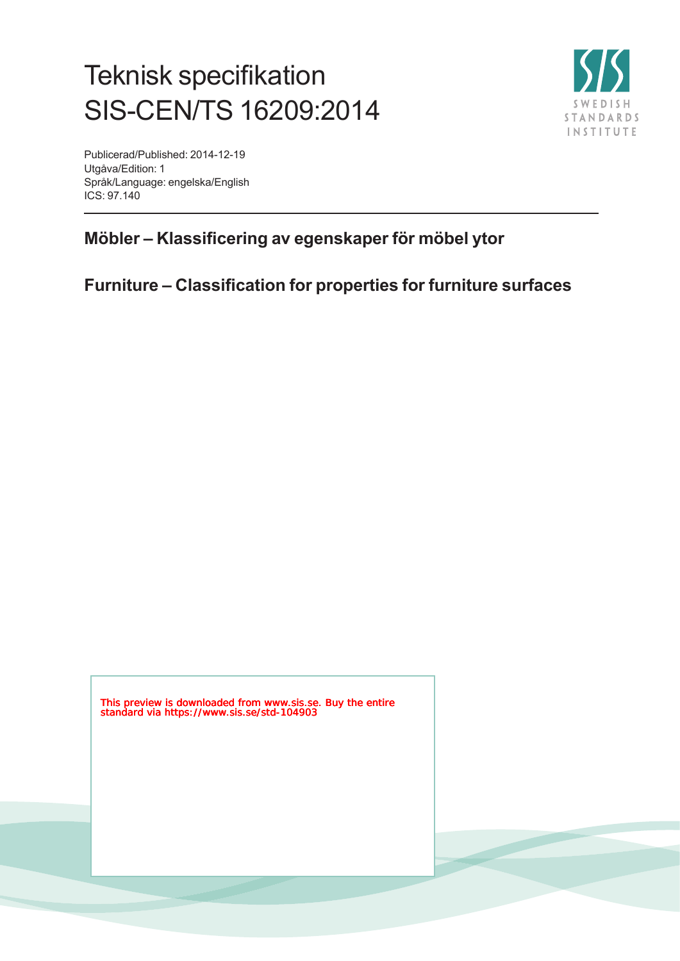# Teknisk specifikation SIS-CEN/TS 16209:2014



Publicerad/Published: 2014-12-19 Utgåva/Edition: 1 Språk/Language: engelska/English ICS: 97.140

## **Möbler – Klassificering av egenskaper för möbel ytor**

**Furniture – Classification for properties for furniture surfaces**

This preview is downloaded from www.sis.se. Buy the entire standard via https://www.sis.se/std-104903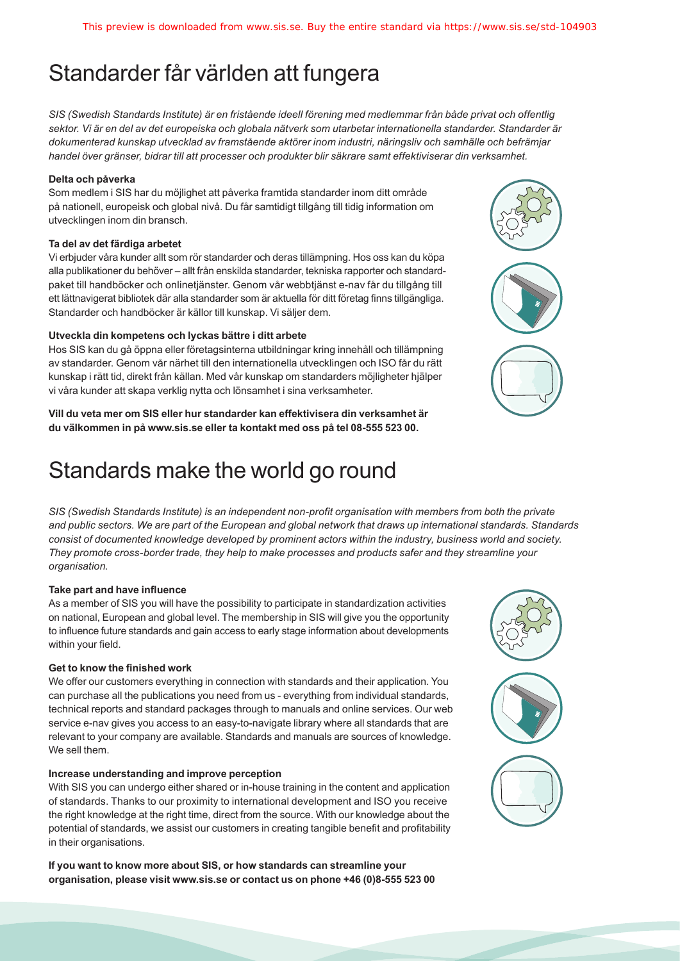## Standarder får världen att fungera

*SIS (Swedish Standards Institute) är en fristående ideell förening med medlemmar från både privat och offentlig sektor. Vi är en del av det europeiska och globala nätverk som utarbetar internationella standarder. Standarder är dokumenterad kunskap utvecklad av framstående aktörer inom industri, näringsliv och samhälle och befrämjar handel över gränser, bidrar till att processer och produkter blir säkrare samt effektiviserar din verksamhet.* 

#### **Delta och påverka**

Som medlem i SIS har du möjlighet att påverka framtida standarder inom ditt område på nationell, europeisk och global nivå. Du får samtidigt tillgång till tidig information om utvecklingen inom din bransch.

#### **Ta del av det färdiga arbetet**

Vi erbjuder våra kunder allt som rör standarder och deras tillämpning. Hos oss kan du köpa alla publikationer du behöver – allt från enskilda standarder, tekniska rapporter och standardpaket till handböcker och onlinetjänster. Genom vår webbtjänst e-nav får du tillgång till ett lättnavigerat bibliotek där alla standarder som är aktuella för ditt företag finns tillgängliga. Standarder och handböcker är källor till kunskap. Vi säljer dem.

#### **Utveckla din kompetens och lyckas bättre i ditt arbete**

Hos SIS kan du gå öppna eller företagsinterna utbildningar kring innehåll och tillämpning av standarder. Genom vår närhet till den internationella utvecklingen och ISO får du rätt kunskap i rätt tid, direkt från källan. Med vår kunskap om standarders möjligheter hjälper vi våra kunder att skapa verklig nytta och lönsamhet i sina verksamheter.

**Vill du veta mer om SIS eller hur standarder kan effektivisera din verksamhet är du välkommen in på www.sis.se eller ta kontakt med oss på tel 08-555 523 00.**

## Standards make the world go round

*SIS (Swedish Standards Institute) is an independent non-profit organisation with members from both the private and public sectors. We are part of the European and global network that draws up international standards. Standards consist of documented knowledge developed by prominent actors within the industry, business world and society. They promote cross-border trade, they help to make processes and products safer and they streamline your organisation.*

#### **Take part and have influence**

As a member of SIS you will have the possibility to participate in standardization activities on national, European and global level. The membership in SIS will give you the opportunity to influence future standards and gain access to early stage information about developments within your field.

#### **Get to know the finished work**

We offer our customers everything in connection with standards and their application. You can purchase all the publications you need from us - everything from individual standards, technical reports and standard packages through to manuals and online services. Our web service e-nav gives you access to an easy-to-navigate library where all standards that are relevant to your company are available. Standards and manuals are sources of knowledge. We sell them.

#### **Increase understanding and improve perception**

With SIS you can undergo either shared or in-house training in the content and application of standards. Thanks to our proximity to international development and ISO you receive the right knowledge at the right time, direct from the source. With our knowledge about the potential of standards, we assist our customers in creating tangible benefit and profitability in their organisations.

**If you want to know more about SIS, or how standards can streamline your organisation, please visit www.sis.se or contact us on phone +46 (0)8-555 523 00**



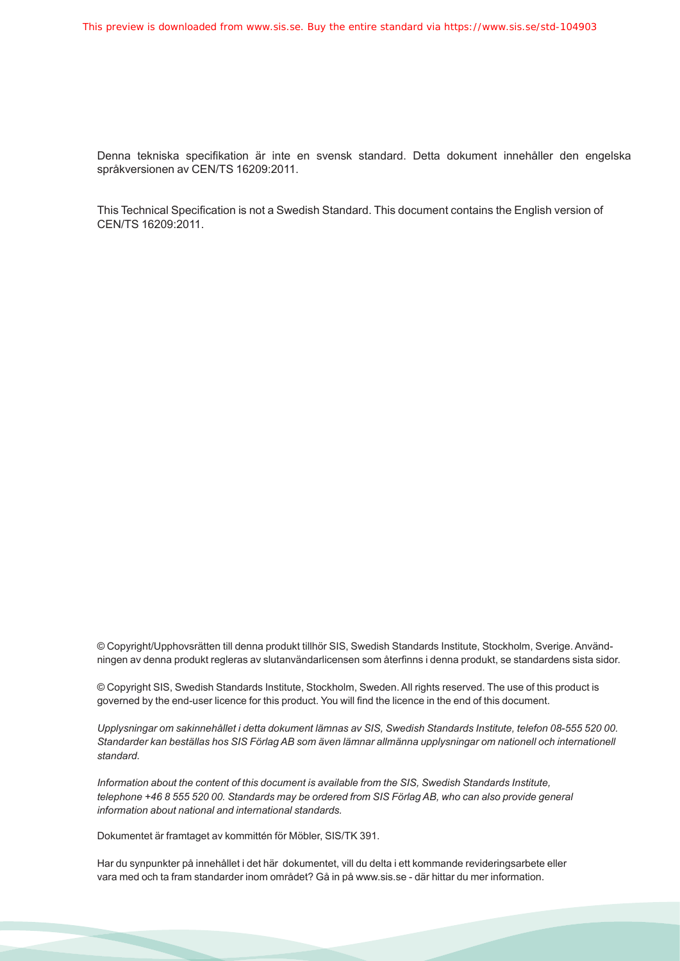Denna tekniska specifikation är inte en svensk standard. Detta dokument innehåller den engelska språkversionen av CEN/TS 16209:2011.

This Technical Specification is not a Swedish Standard. This document contains the English version of CEN/TS 16209:2011.

© Copyright/Upphovsrätten till denna produkt tillhör SIS, Swedish Standards Institute, Stockholm, Sverige. Användningen av denna produkt regleras av slutanvändarlicensen som återfinns i denna produkt, se standardens sista sidor.

© Copyright SIS, Swedish Standards Institute, Stockholm, Sweden. All rights reserved. The use of this product is governed by the end-user licence for this product. You will find the licence in the end of this document.

*Upplysningar om sakinnehållet i detta dokument lämnas av SIS, Swedish Standards Institute, telefon 08-555 520 00. Standarder kan beställas hos SIS Förlag AB som även lämnar allmänna upplysningar om nationell och internationell standard.*

*Information about the content of this document is available from the SIS. Swedish Standards Institute. telephone +46 8 555 520 00. Standards may be ordered from SIS Förlag AB, who can also provide general information about national and international standards.*

Dokumentet är framtaget av kommittén för Möbler, SIS/TK 391.

Har du synpunkter på innehållet i det här dokumentet, vill du delta i ett kommande revideringsarbete eller vara med och ta fram standarder inom området? Gå in på www.sis.se - där hittar du mer information.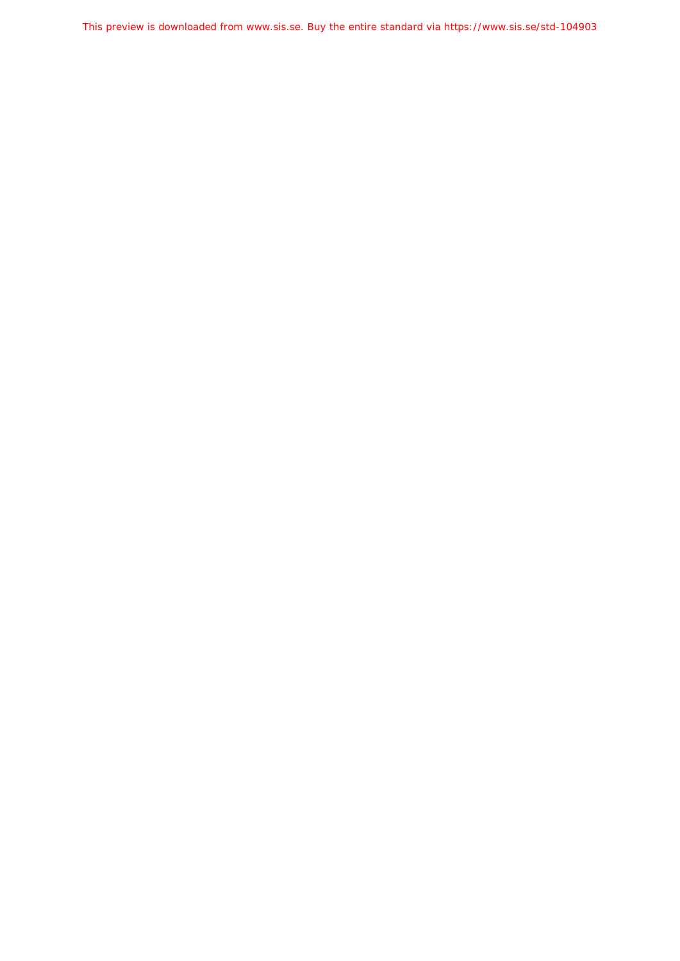This preview is downloaded from www.sis.se. Buy the entire standard via https://www.sis.se/std-104903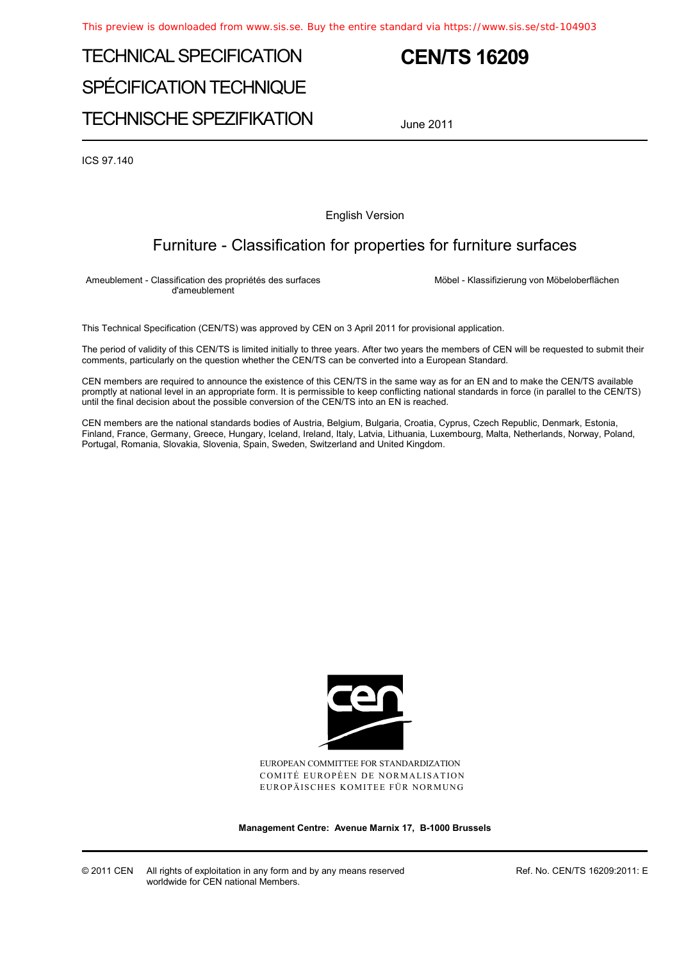## TECHNICAL SPECIFICATION SPÉCIFICATION TECHNIQUE TECHNISCHE SPEZIFIKATION

## **CEN/TS 16209**

June 2011

ICS 97.140

English Version

### Furniture - Classification for properties for furniture surfaces

Ameublement - Classification des propriétés des surfaces d'ameublement

Möbel - Klassifizierung von Möbeloberflächen

This Technical Specification (CEN/TS) was approved by CEN on 3 April 2011 for provisional application.

The period of validity of this CEN/TS is limited initially to three years. After two years the members of CEN will be requested to submit their comments, particularly on the question whether the CEN/TS can be converted into a European Standard.

CEN members are required to announce the existence of this CEN/TS in the same way as for an EN and to make the CEN/TS available promptly at national level in an appropriate form. It is permissible to keep conflicting national standards in force (in parallel to the CEN/TS) until the final decision about the possible conversion of the CEN/TS into an EN is reached.

CEN members are the national standards bodies of Austria, Belgium, Bulgaria, Croatia, Cyprus, Czech Republic, Denmark, Estonia, Finland, France, Germany, Greece, Hungary, Iceland, Ireland, Italy, Latvia, Lithuania, Luxembourg, Malta, Netherlands, Norway, Poland, Portugal, Romania, Slovakia, Slovenia, Spain, Sweden, Switzerland and United Kingdom.



EUROPEAN COMMITTEE FOR STANDARDIZATION COMITÉ EUROPÉEN DE NORMALISATION EUROPÄISCHES KOMITEE FÜR NORMUNG

**Management Centre: Avenue Marnix 17, B-1000 Brussels** 

© 2011 CEN All rights of exploitation in any form and by any means reserved worldwide for CEN national Members.

Ref. No. CEN/TS 16209:2011: E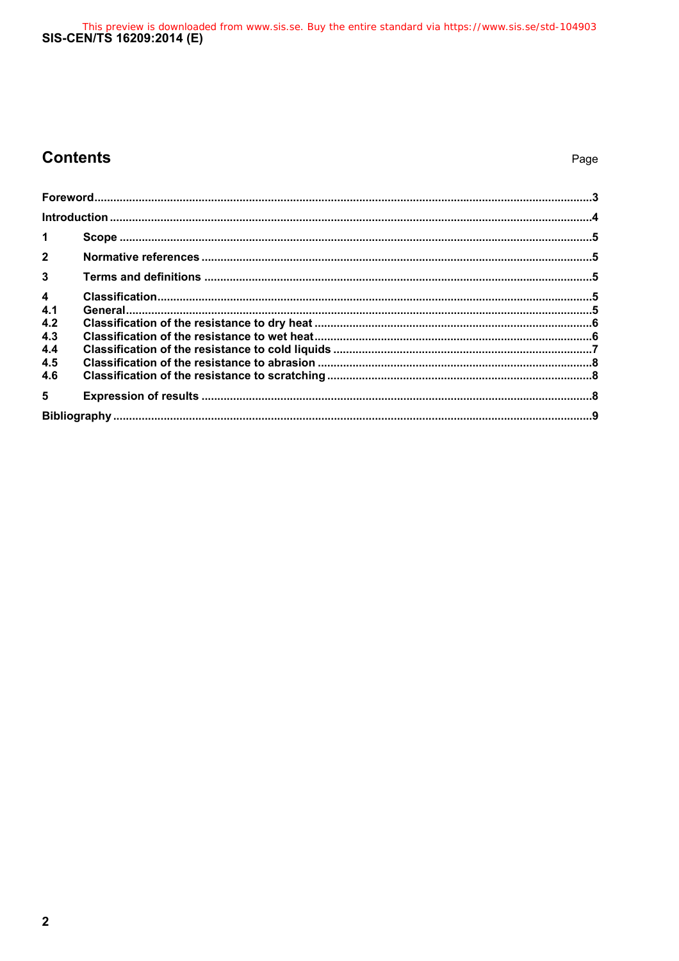This preview is downloaded from www.sis.se. Buy the entire standard via https://www.sis.se/std-104903<br>SIS-CEN/TS 16209:2014 (E)

### **Contents**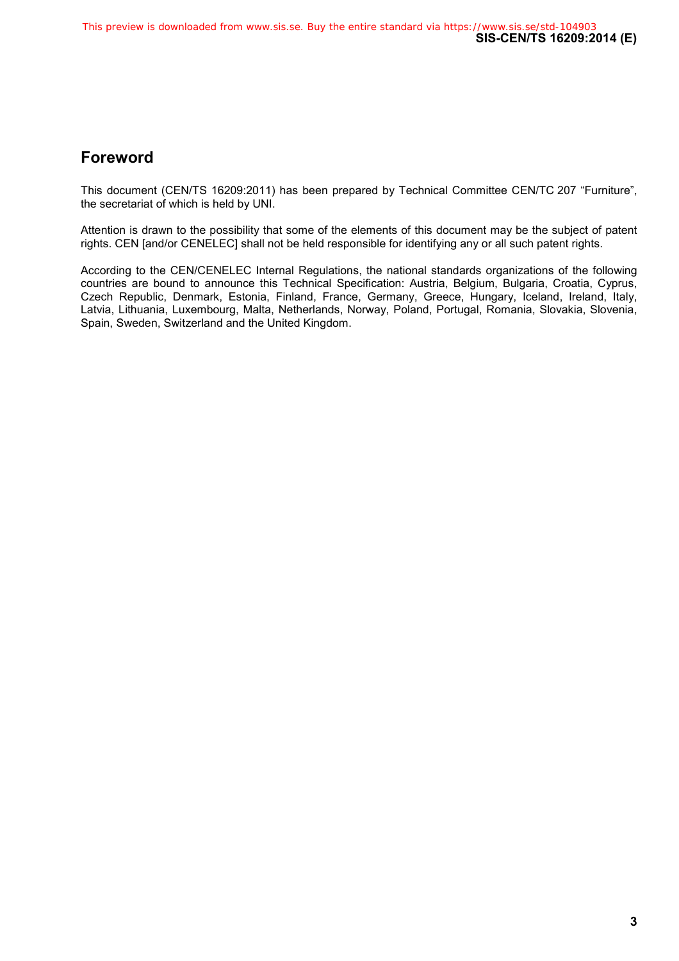### **Foreword**

This document (CEN/TS 16209:2011) has been prepared by Technical Committee CEN/TC 207 "Furniture", the secretariat of which is held by UNI.

Attention is drawn to the possibility that some of the elements of this document may be the subject of patent rights. CEN [and/or CENELEC] shall not be held responsible for identifying any or all such patent rights.

According to the CEN/CENELEC Internal Regulations, the national standards organizations of the following countries are bound to announce this Technical Specification: Austria, Belgium, Bulgaria, Croatia, Cyprus, Czech Republic, Denmark, Estonia, Finland, France, Germany, Greece, Hungary, Iceland, Ireland, Italy, Latvia, Lithuania, Luxembourg, Malta, Netherlands, Norway, Poland, Portugal, Romania, Slovakia, Slovenia, Spain, Sweden, Switzerland and the United Kingdom.